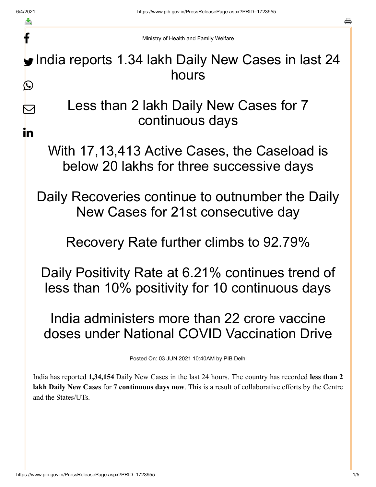f

 $\nabla$ 

<u>in</u>

a

Ministry of Health and Family Welfare

India reports 1.34 lakh Daily New Cases in last 24 hours  $\bigcirc$ 

> Less than 2 lakh Daily New Cases for 7 continuous days

With 17,13,413 Active Cases, the Caseload is below 20 lakhs for three successive days

Daily Recoveries continue to outnumber the Daily New Cases for 21st consecutive day

Recovery Rate further climbs to 92.79%

Daily Positivity Rate at 6.21% continues trend of less than 10% positivity for 10 continuous days

India administers more than 22 crore vaccine doses under National COVID Vaccination Drive

Posted On: 03 JUN 2021 10:40AM by PIB Delhi

India has reported **1,34,154** Daily New Cases in the last 24 hours. The country has recorded **less than 2 lakh Daily New Cases** for **7 continuous days now**. This is a result of collaborative efforts by the Centre and the States/UTs.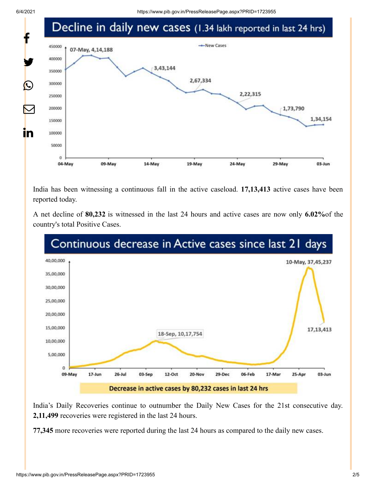

India has been witnessing a continuous fall in the active caseload. **17,13,413** active cases have been reported today.

A net decline of **80,232** is witnessed in the last 24 hours and active cases are now only **6.02%**of the country's total Positive Cases.



India's Daily Recoveries continue to outnumber the Daily New Cases for the 21st consecutive day. **2,11,499** recoveries were registered in the last 24 hours.

**77,345** more recoveries were reported during the last 24 hours as compared to the daily new cases.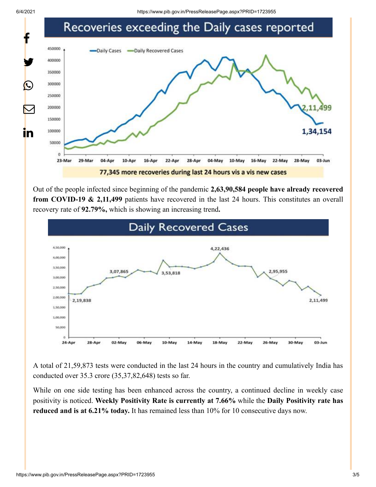

Out of the people infected since beginning of the pandemic **2,63,90,584 people have already recovered from COVID-19 & 2,11,499** patients have recovered in the last 24 hours. This constitutes an overall recovery rate of **92.79%,** which is showing an increasing trend**.**



A total of 21,59,873 tests were conducted in the last 24 hours in the country and cumulatively India has conducted over 35.3 crore (35,37,82,648) tests so far.

While on one side testing has been enhanced across the country, a continued decline in weekly case positivity is noticed. **Weekly Positivity Rate is currently at 7.66%** while the **Daily Positivity rate has reduced and is at 6.21% today.** It has remained less than 10% for 10 consecutive days now.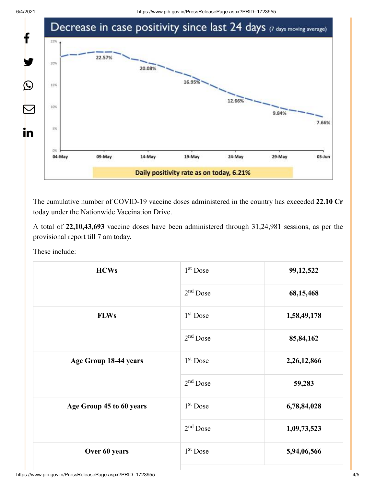

The cumulative number of COVID-19 vaccine doses administered in the country has exceeded **22.10 Cr** today under the Nationwide Vaccination Drive.

A total of **22,10,43,693** vaccine doses have been administered through 31,24,981 sessions, as per the provisional report till 7 am today.

These include:

| <b>HCWs</b>              | 1 <sup>st</sup> Dose | 99, 12, 522 |
|--------------------------|----------------------|-------------|
|                          | $2nd$ Dose           | 68,15,468   |
| <b>FLWs</b>              | $1st$ Dose           | 1,58,49,178 |
|                          | $2nd$ Dose           | 85, 84, 162 |
| Age Group 18-44 years    | $1st$ Dose           | 2,26,12,866 |
|                          | $2nd$ Dose           | 59,283      |
| Age Group 45 to 60 years | $1st$ Dose           | 6,78,84,028 |
|                          | $2nd$ Dose           | 1,09,73,523 |
| Over 60 years            | $1st$ Dose           | 5,94,06,566 |